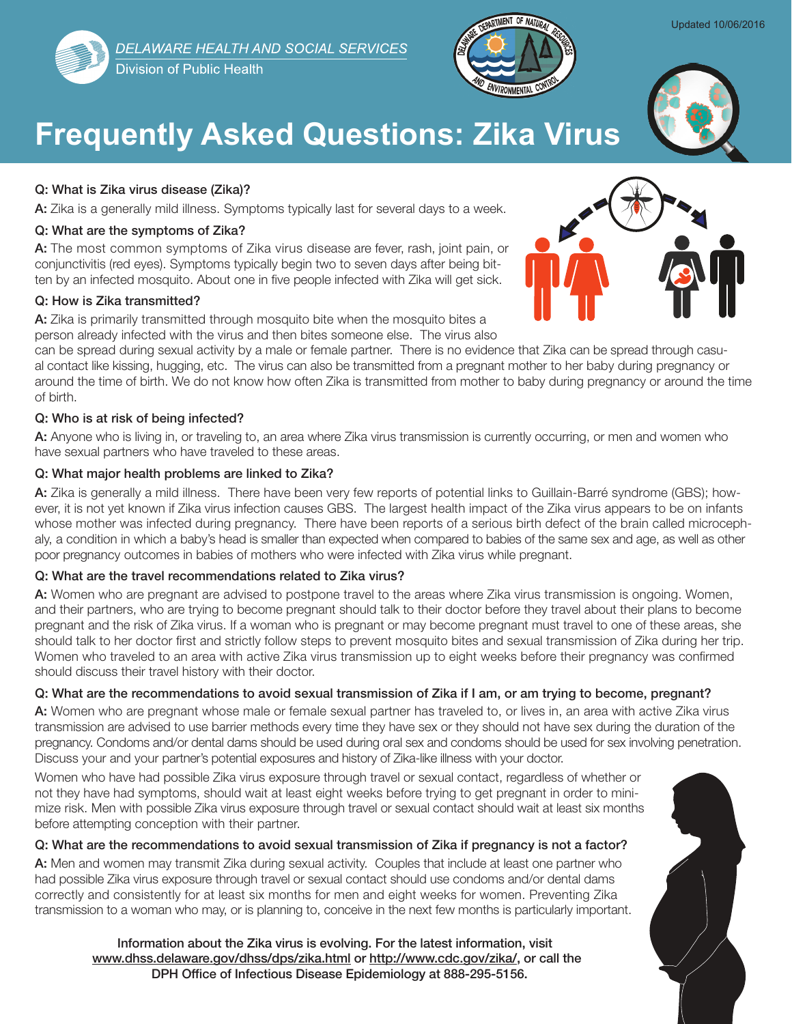

# **Frequently Asked Questions: Zika Virus**

### Q: What is Zika virus disease (Zika)?

A: Zika is a generally mild illness. Symptoms typically last for several days to a week.

### Q: What are the symptoms of Zika?

A: The most common symptoms of Zika virus disease are fever, rash, joint pain, or conjunctivitis (red eyes). Symptoms typically begin two to seven days after being bitten by an infected mosquito. About one in five people infected with Zika will get sick.

### Q: How is Zika transmitted?

A: Zika is primarily transmitted through mosquito bite when the mosquito bites a person already infected with the virus and then bites someone else. The virus also

can be spread during sexual activity by a male or female partner. There is no evidence that Zika can be spread through casual contact like kissing, hugging, etc. The virus can also be transmitted from a pregnant mother to her baby during pregnancy or around the time of birth. We do not know how often Zika is transmitted from mother to baby during pregnancy or around the time of birth.

### Q: Who is at risk of being infected?

A: Anyone who is living in, or traveling to, an area where Zika virus transmission is currently occurring, or men and women who have sexual partners who have traveled to these areas.

### Q: What major health problems are linked to Zika?

A: Zika is generally a mild illness. There have been very few reports of potential links to Guillain-Barré syndrome (GBS); however, it is not yet known if Zika virus infection causes GBS. The largest health impact of the Zika virus appears to be on infants whose mother was infected during pregnancy. There have been reports of a serious birth defect of the brain called microcephaly, a condition in which a baby's head is smaller than expected when compared to babies of the same sex and age, as well as other poor pregnancy outcomes in babies of mothers who were infected with Zika virus while pregnant.

### Q: What are the travel recommendations related to Zika virus?

A: Women who are pregnant are advised to postpone travel to the areas where Zika virus transmission is ongoing. Women, and their partners, who are trying to become pregnant should talk to their doctor before they travel about their plans to become pregnant and the risk of Zika virus. If a woman who is pregnant or may become pregnant must travel to one of these areas, she should talk to her doctor first and strictly follow steps to prevent mosquito bites and sexual transmission of Zika during her trip. Women who traveled to an area with active Zika virus transmission up to eight weeks before their pregnancy was confirmed should discuss their travel history with their doctor.

### Q: What are the recommendations to avoid sexual transmission of Zika if I am, or am trying to become, pregnant?

A: Women who are pregnant whose male or female sexual partner has traveled to, or lives in, an area with active Zika virus transmission are advised to use barrier methods every time they have sex or they should not have sex during the duration of the pregnancy. Condoms and/or dental dams should be used during oral sex and condoms should be used for sex involving penetration. Discuss your and your partner's potential exposures and history of Zika-like illness with your doctor.

Women who have had possible Zika virus exposure through travel or sexual contact, regardless of whether or not they have had symptoms, should wait at least eight weeks before trying to get pregnant in order to minimize risk. Men with possible Zika virus exposure through travel or sexual contact should wait at least six months before attempting conception with their partner.

### Q: What are the recommendations to avoid sexual transmission of Zika if pregnancy is not a factor?

A: Men and women may transmit Zika during sexual activity. Couples that include at least one partner who had possible Zika virus exposure through travel or sexual contact should use condoms and/or dental dams correctly and consistently for at least six months for men and eight weeks for women. Preventing Zika transmission to a woman who may, or is planning to, conceive in the next few months is particularly important.

Information about the Zika virus is evolving. For the latest information, visit [www.dhss.delaware.gov/dhss/dps/zika.html](http://www.dhss.delaware.gov/dhss/dph/zika.html) or [http://www.cdc.gov/zika/,](http://www.cdc.gov/zika/) or call the DPH Office of Infectious Disease Epidemiology at 888-295-5156.